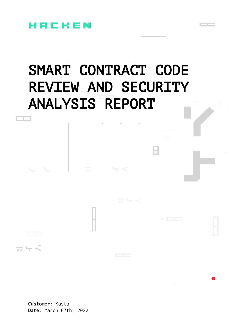

# SMART CONTRACT CODE REVIEW AND SECURITY ANALYSIS REPORT

**Customer**: Kasta **Date**: March 07th, 2022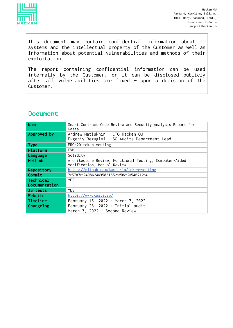

This document may contain confidential information about IT systems and the intellectual property of the Customer as well as information about potential vulnerabilities and methods of their exploitation.

The report containing confidential information can be used internally by the Customer, or it can be disclosed publicly after all vulnerabilities are fixed — upon a decision of the Customer.

# **Document**

| <b>Name</b>    | Smart Contract Code Review and Security Analysis Report for<br>Kasta. |
|----------------|-----------------------------------------------------------------------|
| Approved by    | Andrew Matiukhin   CTO Hacken OU                                      |
|                | Evgeniy Bezuglyi   SC Audits Department Lead                          |
| <b>Type</b>    | ERC-20 token vesting                                                  |
| Platform       | <b>EVM</b>                                                            |
| Language       | Solidity                                                              |
| <b>Methods</b> | Architecture Review, Functional Testing, Computer-Aided               |
|                | Verification, Manual Review                                           |
| Repository     | https://github.com/kasta-io/token-vesting                             |
| Commit         | 7c5787FE2408624p95831652pp50cB2B540212F4                              |
| Technical      | <b>YES</b>                                                            |
| Documentation  |                                                                       |
| JS tests       | <b>YES</b>                                                            |
| Website        | https://www.kasta.io/                                                 |
| Timeline       | February 16, 2022 - March 7, 2022                                     |
| Changelog      | February 28, 2022 - Initial audit                                     |
|                | March 7, 2022 - Second Review                                         |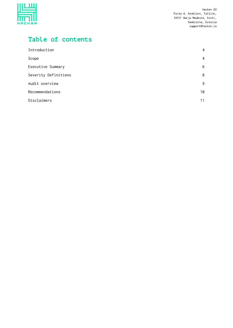

# Table of contents

| Introduction         | 4  |
|----------------------|----|
| Scope                | 4  |
| Executive Summary    | 6  |
| Severity Definitions | 8  |
| Audit overview       | 9  |
| Recommendations      | 10 |
| Disclaimers          | 11 |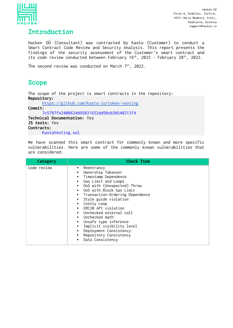

# <span id="page-3-0"></span>Introduction

Hacken OÜ (Consultant) was contracted by Kasta (Customer) to conduct a Smart Contract Code Review and Security Analysis. This report presents the findings of the security assessment of the Customer's smart contract and its code review conducted between February  $16^{th}$ , 2022 - February 28 $^{th}$ , 2022.

The second review was conducted on March  $7<sup>th</sup>$ , 2022.

# <span id="page-3-1"></span>Scope

The scope of the project is smart contracts in the repository: **Repository:**

<https://github.com/kasta-io/token-vesting>

**Commit:**

7c5787fe2408624d95831652dd50cb2b540212f4 **Technical Documentation:** Yes **JS tests:** Yes **Contracts:** KastaVesting.sol

We have scanned this smart contract for commonly known and more specific vulnerabilities. Here are some of the commonly known vulnerabilities that are considered:

| Category    | <b>Check Item</b>                                                                                                                                                                                                                                                                                                                                                                                                                                  |
|-------------|----------------------------------------------------------------------------------------------------------------------------------------------------------------------------------------------------------------------------------------------------------------------------------------------------------------------------------------------------------------------------------------------------------------------------------------------------|
| Code review | • Reentrancy<br>• Ownership Takeover<br>Timestamp Dependence<br>Gas Limit and Loops<br>• DoS with (Unexpected) Throw<br>DoS with Block Gas Limit<br>• Transaction-Ordering Dependence<br>• Style guide violation<br>Costly Loop<br>▪ ERC20 API violation<br>$\blacksquare$ Unchecked external call<br>Unchecked math<br>Unsafe type inference<br>Implicit visibility level<br>Deployment Consistency<br>Repository Consistency<br>Data Consistency |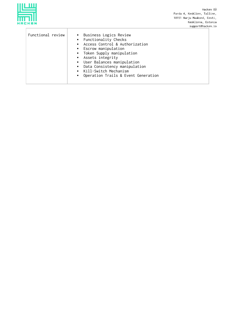

| Functional review | • Business Logics Review<br>• Functionality Checks<br>• Access Control & Authorization<br>• Escrow manipulation<br>• Token Supply manipulation<br>• Assets integrity<br>User Balances manipulation<br>• Data Consistency manipulation<br>Kill-Switch Mechanism<br>• Operation Trails & Event Generation |
|-------------------|---------------------------------------------------------------------------------------------------------------------------------------------------------------------------------------------------------------------------------------------------------------------------------------------------------|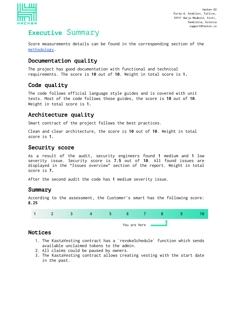

# <span id="page-5-0"></span>Executive Summary

Score measurements details can be found in the corresponding section of the [methodology](https://docs.google.com/document/d/1vpWmShFjGVkwHgX4rEmFhRcmnOZ-k6xEckkQjZkCmgE/edit#heading=h.1ci93xb).

# Documentation quality

The project has good documentation with functional and technical requirements. The score is **10** out of **10**. Weight in total score is **1.**

# Code quality

The code follows official language style guides and is covered with unit tests. Most of the code follows those guides, the score is **10** out of **10**. Weight in total score is **1.**

## Architecture quality

Smart contract of the project follows the best practices.

Clean and clear architecture, the score is **10** out of **10**. Weight in total score is **1.**

# Security score

As a result of the audit, security engineers found **1** medium and **1** low severity issue. Security score is **7.5** out of **10**. All found issues are displayed in the "Issues overview" section of the report. Weight in total score is **7.**

After the second audit the code has **1** medium severity issue.

## Summary

According to the assessment, the Customer's smart has the following score: **8.25**



## Notices

- 1. The KastaVesting contract has a `revokeSchedule` function which sends available unclaimed tokens to the admin.
- 2. All claims could be paused by owners.
- 3. The KastaVesting contract allows creating vesting with the start date in the past.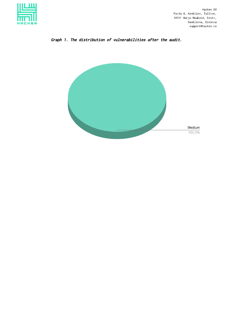



#### Graph 1. The distribution of vulnerabilities after the audit.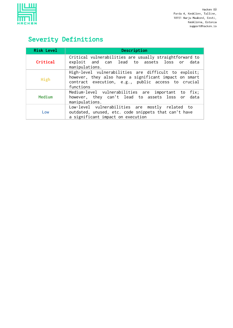

# <span id="page-7-0"></span>Severity Definitions

| <b>Risk Level</b> | Description                                                                                                                                                                      |
|-------------------|----------------------------------------------------------------------------------------------------------------------------------------------------------------------------------|
| Critical          | Critical vulnerabilities are usually straightforward to<br>exploit and can lead to assets loss or data<br>manipulations.                                                         |
| High              | High-level vulnerabilities are difficult to exploit;<br>however, they also have a significant impact on smart<br>contract execution, e.g., public access to crucial<br>functions |
| Medium            | Medium-level vulnerabilities are important to fix;<br>however, they can't lead to assets loss or data<br>manipulations.                                                          |
| Low               | Low-level vulnerabilities are mostly related to<br>outdated, unused, etc. code snippets that can't have<br>a significant impact on execution                                     |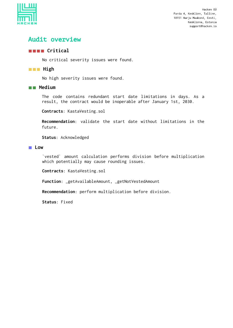

# <span id="page-8-0"></span>Audit overview

#### **Critical**

No critical severity issues were found.

#### **High**

No high severity issues were found.

#### **Medium**

The code contains redundant start date limitations in days. As a result, the contract would be inoperable after January 1st, 2030.

**Contracts**: KastaVesting.sol

**Recommendation**: validate the start date without limitations in the future.

**Status**: Acknowledged

#### **Low**

`vested` amount calculation performs division before multiplication which potentially may cause rounding issues.

**Contracts**: KastaVesting.sol

**Function**: \_getAvailableAmount, \_getNotVestedAmount

**Recommendation**: perform multiplication before division.

**Status**: Fixed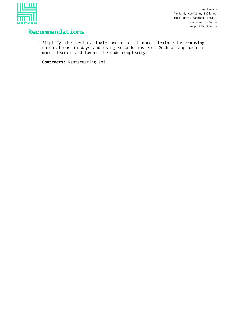

# <span id="page-9-0"></span>Recommendations

1.Simplify the vesting logic and make it more flexible by removing calculations in days and using seconds instead. Such an approach is more flexible and lowers the code complexity.

**Contracts**: KastaVesting.sol